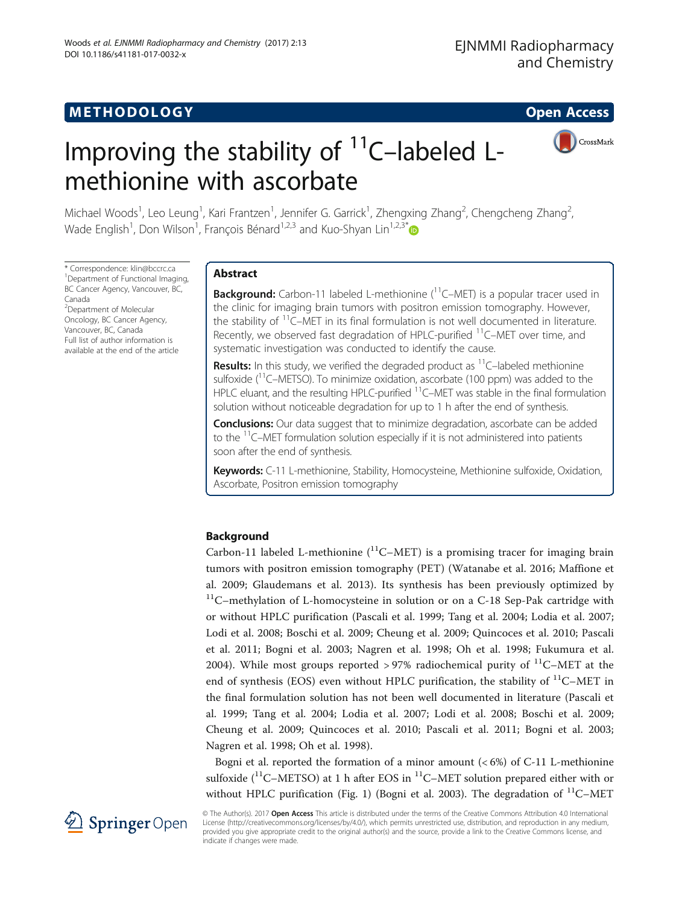

# Improving the stability of  $11$ <sup>C</sup>–labeled Lmethionine with ascorbate

Michael Woods<sup>1</sup>, Leo Leung<sup>1</sup>, Kari Frantzen<sup>1</sup>, Jennifer G. Garrick<sup>1</sup>, Zhengxing Zhang<sup>2</sup>, Chengcheng Zhang<sup>2</sup> , Wade English<sup>1</sup>, Don Wilson<sup>1</sup>, François Bénard<sup>1,2,3</sup> and Kuo-Shyan Lin<sup>1,2,3\*</sup>

\* Correspondence: [klin@bccrc.ca](mailto:klin@bccrc.ca) <sup>1</sup> <sup>1</sup>Department of Functional Imaging, BC Cancer Agency, Vancouver, BC, Canada 2 Department of Molecular Oncology, BC Cancer Agency, Vancouver, BC, Canada Full list of author information is available at the end of the article

# Abstract

**Background:** Carbon-11 labeled L-methionine  $(^{11}C-MET)$  is a popular tracer used in the clinic for imaging brain tumors with positron emission tomography. However, the stability of  $11$ <sup>C</sup>–MET in its final formulation is not well documented in literature. Recently, we observed fast degradation of HPLC-purified <sup>11</sup>C–MET over time, and systematic investigation was conducted to identify the cause.

**Results:** In this study, we verified the degraded product as  $<sup>11</sup>C$ –labeled methionine</sup> sulfoxide ( ${}^{11}$ C–METSO). To minimize oxidation, ascorbate (100 ppm) was added to the HPLC eluant, and the resulting HPLC-purified <sup>11</sup>C–MET was stable in the final formulation solution without noticeable degradation for up to 1 h after the end of synthesis.

**Conclusions:** Our data suggest that to minimize degradation, ascorbate can be added to the  $11$ <sup>C</sup>–MET formulation solution especially if it is not administered into patients soon after the end of synthesis.

Keywords: C-11 L-methionine, Stability, Homocysteine, Methionine sulfoxide, Oxidation, Ascorbate, Positron emission tomography

# Background

Carbon-11 labeled L-methionine  $(^{11}C-MET)$  is a promising tracer for imaging brain tumors with positron emission tomography (PET) (Watanabe et al. [2016;](#page-8-0) Maffione et al. [2009;](#page-8-0) Glaudemans et al. [2013\)](#page-8-0). Its synthesis has been previously optimized by  $11$ <sup> $11$ </sup>C–methylation of L-homocysteine in solution or on a C-18 Sep-Pak cartridge with or without HPLC purification (Pascali et al. [1999;](#page-8-0) Tang et al. [2004;](#page-8-0) Lodia et al. [2007](#page-8-0); Lodi et al. [2008;](#page-8-0) Boschi et al. [2009](#page-7-0); Cheung et al. [2009](#page-7-0); Quincoces et al. [2010](#page-8-0); Pascali et al. [2011](#page-8-0); Bogni et al. [2003;](#page-7-0) Nagren et al. [1998;](#page-8-0) Oh et al. [1998;](#page-8-0) Fukumura et al. [2004\)](#page-8-0). While most groups reported > 97% radiochemical purity of  $^{11}$ C–MET at the end of synthesis (EOS) even without HPLC purification, the stability of  $^{11}$ C–MET in the final formulation solution has not been well documented in literature (Pascali et al. [1999;](#page-8-0) Tang et al. [2004](#page-8-0); Lodia et al. [2007](#page-8-0); Lodi et al. [2008](#page-8-0); Boschi et al. [2009](#page-7-0); Cheung et al. [2009;](#page-7-0) Quincoces et al. [2010;](#page-8-0) Pascali et al. [2011;](#page-8-0) Bogni et al. [2003](#page-7-0); Nagren et al. [1998](#page-8-0); Oh et al. [1998\)](#page-8-0).

Bogni et al. reported the formation of a minor amount  $(< 6\%)$  of C-11 L-methionine sulfoxide  $(^{11}C-METSO)$  at 1 h after EOS in  $^{11}C-MET$  solution prepared either with or without HPLC purification (Fig. [1\)](#page-1-0) (Bogni et al. [2003](#page-7-0)). The degradation of  $^{11}$ C-MET



© The Author(s). 2017 Open Access This article is distributed under the terms of the Creative Commons Attribution 4.0 International License [\(http://creativecommons.org/licenses/by/4.0/](http://creativecommons.org/licenses/by/4.0/)), which permits unrestricted use, distribution, and reproduction in any medium, provided you give appropriate credit to the original author(s) and the source, provide a link to the Creative Commons license, and indicate if changes were made.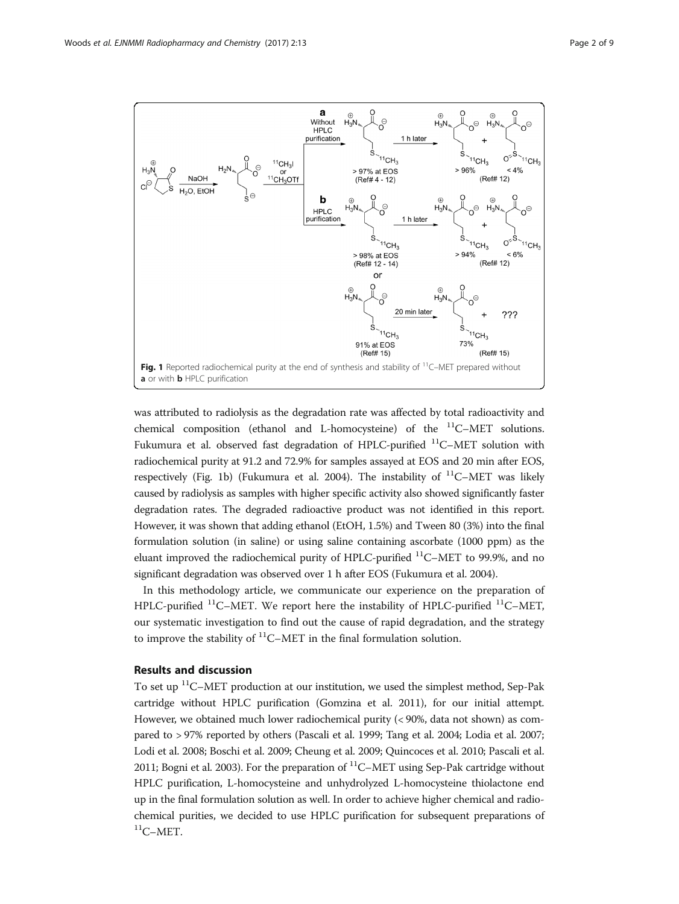<span id="page-1-0"></span>

was attributed to radiolysis as the degradation rate was affected by total radioactivity and chemical composition (ethanol and L-homocysteine) of the <sup>11</sup>C–MET solutions. Fukumura et al. observed fast degradation of HPLC-purified  $^{11}$ C-MET solution with radiochemical purity at 91.2 and 72.9% for samples assayed at EOS and 20 min after EOS, respectively (Fig. 1b) (Fukumura et al. [2004](#page-8-0)). The instability of  $^{11}$ C–MET was likely caused by radiolysis as samples with higher specific activity also showed significantly faster degradation rates. The degraded radioactive product was not identified in this report. However, it was shown that adding ethanol (EtOH, 1.5%) and Tween 80 (3%) into the final formulation solution (in saline) or using saline containing ascorbate (1000 ppm) as the eluant improved the radiochemical purity of HPLC-purified  $^{11}$ C-MET to 99.9%, and no significant degradation was observed over 1 h after EOS (Fukumura et al. [2004\)](#page-8-0).

In this methodology article, we communicate our experience on the preparation of HPLC-purified  ${}^{11}$ C–MET. We report here the instability of HPLC-purified  ${}^{11}$ C–MET, our systematic investigation to find out the cause of rapid degradation, and the strategy to improve the stability of  ${}^{11}$ C–MET in the final formulation solution.

## Results and discussion

To set up <sup>11</sup>C–MET production at our institution, we used the simplest method, Sep-Pak cartridge without HPLC purification (Gomzina et al. [2011](#page-8-0)), for our initial attempt. However, we obtained much lower radiochemical purity (< 90%, data not shown) as compared to > 97% reported by others (Pascali et al. [1999;](#page-8-0) Tang et al. [2004](#page-8-0); Lodia et al. [2007](#page-8-0); Lodi et al. [2008](#page-8-0); Boschi et al. [2009;](#page-7-0) Cheung et al. [2009;](#page-7-0) Quincoces et al. [2010](#page-8-0); Pascali et al. [2011;](#page-8-0) Bogni et al. [2003](#page-7-0)). For the preparation of  ${}^{11}$ C–MET using Sep-Pak cartridge without HPLC purification, L-homocysteine and unhydrolyzed L-homocysteine thiolactone end up in the final formulation solution as well. In order to achieve higher chemical and radiochemical purities, we decided to use HPLC purification for subsequent preparations of  ${}^{11}$ C-MET.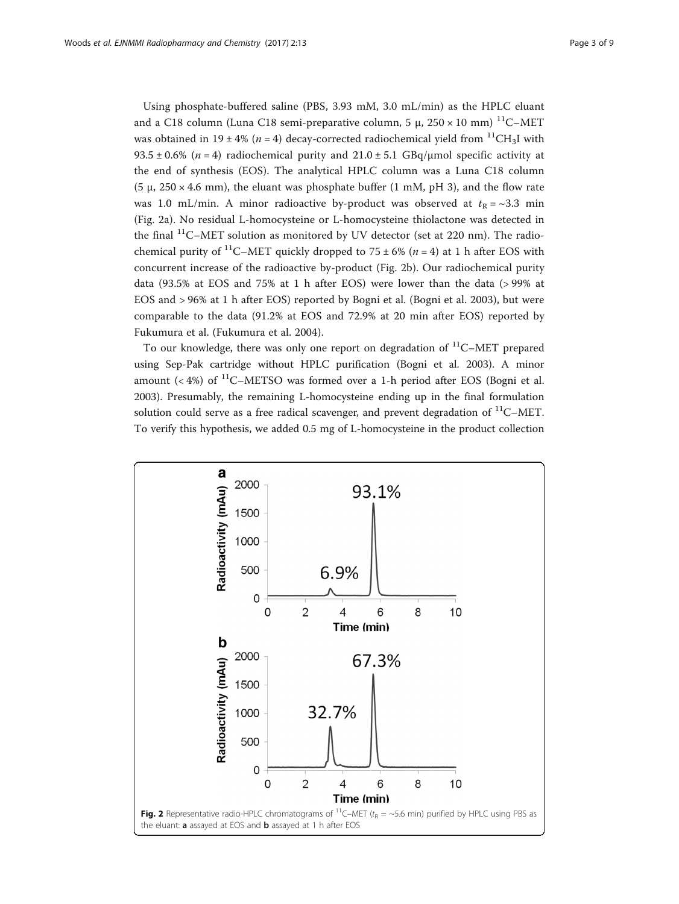<span id="page-2-0"></span>Using phosphate-buffered saline (PBS, 3.93 mM, 3.0 mL/min) as the HPLC eluant and a C18 column (Luna C18 semi-preparative column, 5 μ,  $250 \times 10$  mm) <sup>11</sup>C-MET was obtained in 19 ± 4% ( $n = 4$ ) decay-corrected radiochemical yield from <sup>11</sup>CH<sub>3</sub>I with  $93.5 \pm 0.6\%$  (n = 4) radiochemical purity and  $21.0 \pm 5.1$  GBq/µmol specific activity at the end of synthesis (EOS). The analytical HPLC column was a Luna C18 column (5  $\mu$ , 250 × 4.6 mm), the eluant was phosphate buffer (1 mM, pH 3), and the flow rate was 1.0 mL/min. A minor radioactive by-product was observed at  $t_R = \sim 3.3$  min (Fig. 2a). No residual L-homocysteine or L-homocysteine thiolactone was detected in the final  $^{11}$ C–MET solution as monitored by UV detector (set at 220 nm). The radiochemical purity of <sup>11</sup>C–MET quickly dropped to  $75 \pm 6\%$  ( $n = 4$ ) at 1 h after EOS with concurrent increase of the radioactive by-product (Fig. 2b). Our radiochemical purity data (93.5% at EOS and 75% at 1 h after EOS) were lower than the data (> 99% at EOS and > 96% at 1 h after EOS) reported by Bogni et al. (Bogni et al. [2003\)](#page-7-0), but were comparable to the data (91.2% at EOS and 72.9% at 20 min after EOS) reported by Fukumura et al. (Fukumura et al. [2004\)](#page-8-0).

To our knowledge, there was only one report on degradation of  $^{11}$ C–MET prepared using Sep-Pak cartridge without HPLC purification (Bogni et al. [2003\)](#page-7-0). A minor amount  $( $4\%$ ) of <sup>11</sup>C-METSO was formed over a 1-h period after EOS (Bogni et al.$ [2003](#page-7-0)). Presumably, the remaining L-homocysteine ending up in the final formulation solution could serve as a free radical scavenger, and prevent degradation of  $^{11}$ C–MET. To verify this hypothesis, we added 0.5 mg of L-homocysteine in the product collection

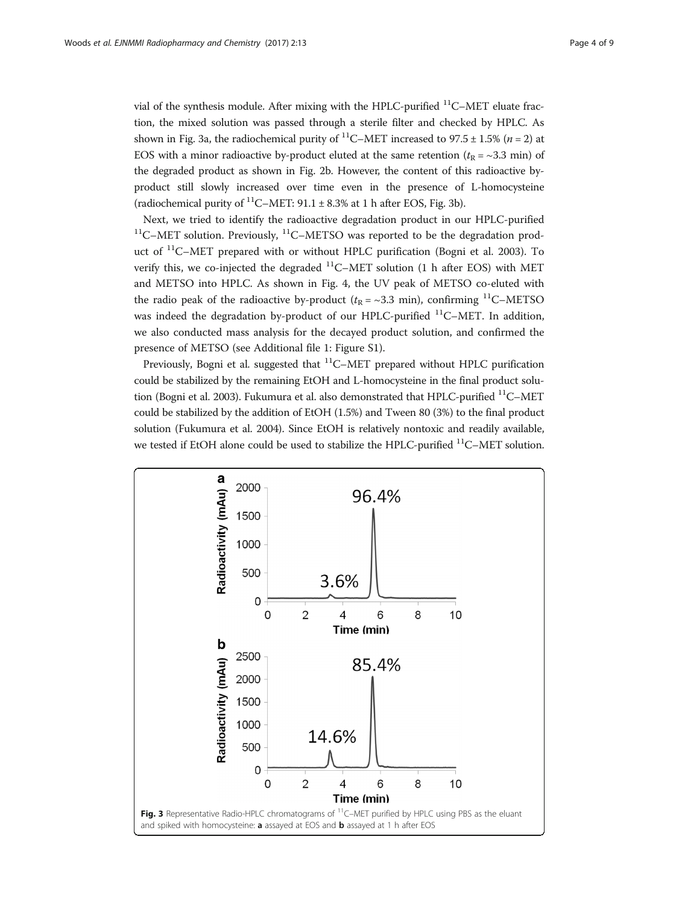<span id="page-3-0"></span>vial of the synthesis module. After mixing with the HPLC-purified  $^{11}$ C–MET eluate fraction, the mixed solution was passed through a sterile filter and checked by HPLC. As shown in Fig. 3a, the radiochemical purity of <sup>11</sup>C–MET increased to 97.5  $\pm$  1.5% (*n* = 2) at EOS with a minor radioactive by-product eluted at the same retention ( $t_R = \sim 3.3$  min) of the degraded product as shown in Fig. [2b](#page-2-0). However, the content of this radioactive byproduct still slowly increased over time even in the presence of L-homocysteine (radiochemical purity of <sup>11</sup>C–MET:  $91.1 \pm 8.3\%$  at 1 h after EOS, Fig. 3b).

Next, we tried to identify the radioactive degradation product in our HPLC-purified  $11$ <sup>C</sup>–MET solution. Previously,  $11$ <sup>C</sup>–METSO was reported to be the degradation product of  $^{11}$ C–MET prepared with or without HPLC purification (Bogni et al. [2003\)](#page-7-0). To verify this, we co-injected the degraded  $^{11}$ C–MET solution (1 h after EOS) with MET and METSO into HPLC. As shown in Fig. [4](#page-4-0), the UV peak of METSO co-eluted with the radio peak of the radioactive by-product ( $t_R = \sim 3.3$  min), confirming <sup>11</sup>C–METSO was indeed the degradation by-product of our HPLC-purified  $^{11}$ C–MET. In addition, we also conducted mass analysis for the decayed product solution, and confirmed the presence of METSO (see Additional file [1:](#page-7-0) Figure S1).

Previously, Bogni et al. suggested that  ${}^{11}$ C–MET prepared without HPLC purification could be stabilized by the remaining EtOH and L-homocysteine in the final product solu-tion (Bogni et al. [2003](#page-7-0)). Fukumura et al. also demonstrated that HPLC-purified <sup>11</sup>C-MET could be stabilized by the addition of EtOH (1.5%) and Tween 80 (3%) to the final product solution (Fukumura et al. [2004](#page-8-0)). Since EtOH is relatively nontoxic and readily available, we tested if EtOH alone could be used to stabilize the HPLC-purified <sup>11</sup>C–MET solution.

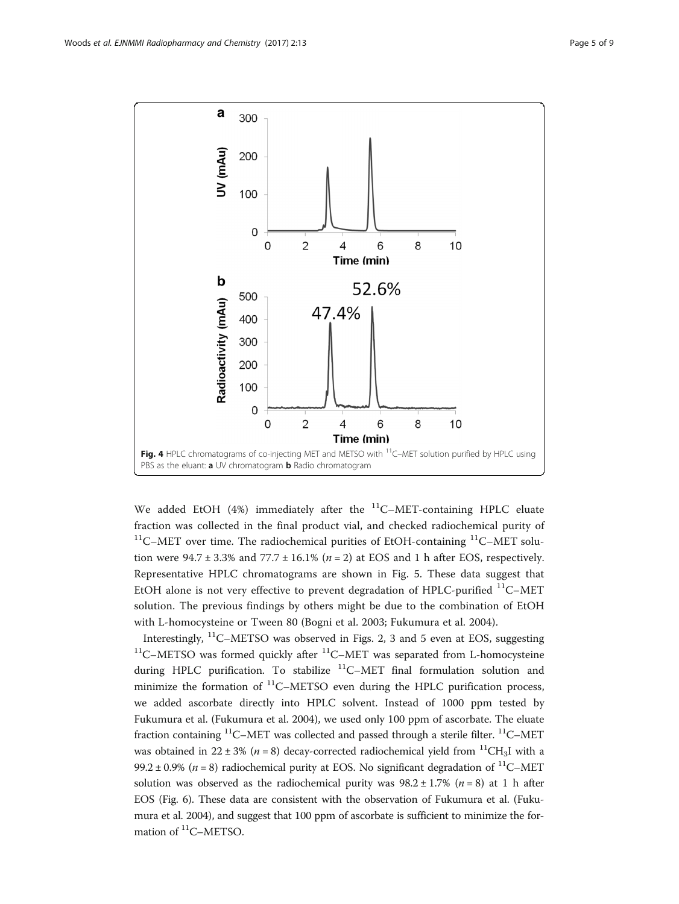<span id="page-4-0"></span>

We added EtOH (4%) immediately after the  $^{11}$ C–MET-containing HPLC eluate fraction was collected in the final product vial, and checked radiochemical purity of  $11$ <sup>C</sup>–MET over time. The radiochemical purities of EtOH-containing  $11$ <sup>C</sup>–MET solution were  $94.7 \pm 3.3\%$  and  $77.7 \pm 16.1\%$  ( $n = 2$ ) at EOS and 1 h after EOS, respectively. Representative HPLC chromatograms are shown in Fig. [5](#page-5-0). These data suggest that EtOH alone is not very effective to prevent degradation of HPLC-purified  $^{11}$ C-MET solution. The previous findings by others might be due to the combination of EtOH with L-homocysteine or Tween 80 (Bogni et al. [2003](#page-7-0); Fukumura et al. [2004\)](#page-8-0).

Interestingly,  ${}^{11}$ C–METSO was observed in Figs. [2,](#page-2-0) [3](#page-3-0) and [5](#page-5-0) even at EOS, suggesting  $11$ C–METSO was formed quickly after  $11$ C–MET was separated from L-homocysteine during HPLC purification. To stabilize  ${}^{11}$ C–MET final formulation solution and minimize the formation of  ${}^{11}$ C–METSO even during the HPLC purification process, we added ascorbate directly into HPLC solvent. Instead of 1000 ppm tested by Fukumura et al. (Fukumura et al. [2004\)](#page-8-0), we used only 100 ppm of ascorbate. The eluate fraction containing  ${}^{11}$ C–MET was collected and passed through a sterile filter.  ${}^{11}$ C–MET was obtained in 22 ± 3% ( $n = 8$ ) decay-corrected radiochemical yield from <sup>11</sup>CH<sub>3</sub>I with a 99.2 ± 0.9% ( $n = 8$ ) radiochemical purity at EOS. No significant degradation of <sup>11</sup>C–MET solution was observed as the radiochemical purity was  $98.2 \pm 1.7\%$  ( $n = 8$ ) at 1 h after EOS (Fig. [6](#page-6-0)). These data are consistent with the observation of Fukumura et al. (Fukumura et al. [2004\)](#page-8-0), and suggest that 100 ppm of ascorbate is sufficient to minimize the formation of <sup>11</sup>C-METSO.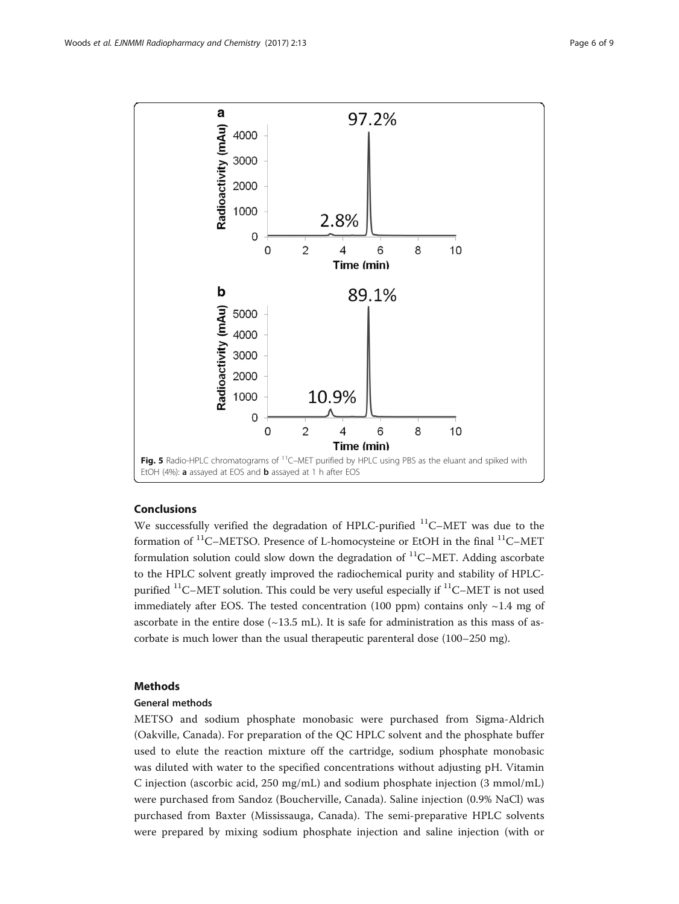<span id="page-5-0"></span>

## Conclusions

We successfully verified the degradation of HPLC-purified  $^{11}$ C-MET was due to the formation of  $^{11}$ C–METSO. Presence of L-homocysteine or EtOH in the final  $^{11}$ C–MET formulation solution could slow down the degradation of  $^{11}$ C–MET. Adding ascorbate to the HPLC solvent greatly improved the radiochemical purity and stability of HPLCpurified  ${}^{11}$ C–MET solution. This could be very useful especially if  ${}^{11}$ C–MET is not used immediately after EOS. The tested concentration (100 ppm) contains only  $\sim$ 1.4 mg of ascorbate in the entire dose  $(\sim13.5 \text{ mL})$ . It is safe for administration as this mass of ascorbate is much lower than the usual therapeutic parenteral dose (100–250 mg).

## Methods

## General methods

METSO and sodium phosphate monobasic were purchased from Sigma-Aldrich (Oakville, Canada). For preparation of the QC HPLC solvent and the phosphate buffer used to elute the reaction mixture off the cartridge, sodium phosphate monobasic was diluted with water to the specified concentrations without adjusting pH. Vitamin C injection (ascorbic acid, 250 mg/mL) and sodium phosphate injection (3 mmol/mL) were purchased from Sandoz (Boucherville, Canada). Saline injection (0.9% NaCl) was purchased from Baxter (Mississauga, Canada). The semi-preparative HPLC solvents were prepared by mixing sodium phosphate injection and saline injection (with or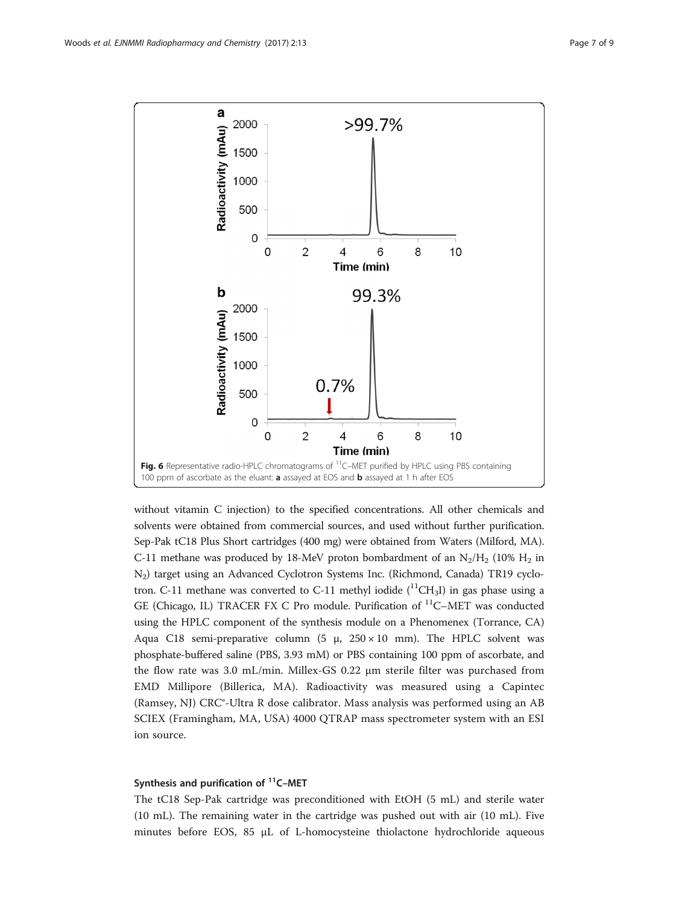<span id="page-6-0"></span>

without vitamin C injection) to the specified concentrations. All other chemicals and solvents were obtained from commercial sources, and used without further purification. Sep-Pak tC18 Plus Short cartridges (400 mg) were obtained from Waters (Milford, MA). C-11 methane was produced by 18-MeV proton bombardment of an  $N_2/H_2$  (10%  $H_2$  in N2) target using an Advanced Cyclotron Systems Inc. (Richmond, Canada) TR19 cyclotron. C-11 methane was converted to C-11 methyl iodide  $(^{11}CH_3I)$  in gas phase using a GE (Chicago, IL) TRACER FX C Pro module. Purification of <sup>11</sup>C-MET was conducted using the HPLC component of the synthesis module on a Phenomenex (Torrance, CA) Aqua C18 semi-preparative column (5 μ,  $250 \times 10$  mm). The HPLC solvent was phosphate-buffered saline (PBS, 3.93 mM) or PBS containing 100 ppm of ascorbate, and the flow rate was 3.0 mL/min. Millex-GS 0.22 μm sterile filter was purchased from EMD Millipore (Billerica, MA). Radioactivity was measured using a Capintec (Ramsey, NJ) CRC®-Ultra R dose calibrator. Mass analysis was performed using an AB SCIEX (Framingham, MA, USA) 4000 QTRAP mass spectrometer system with an ESI ion source.

## Synthesis and purification of  $<sup>11</sup>C-MET$ </sup>

The tC18 Sep-Pak cartridge was preconditioned with EtOH (5 mL) and sterile water (10 mL). The remaining water in the cartridge was pushed out with air (10 mL). Five minutes before EOS, 85 μL of L-homocysteine thiolactone hydrochloride aqueous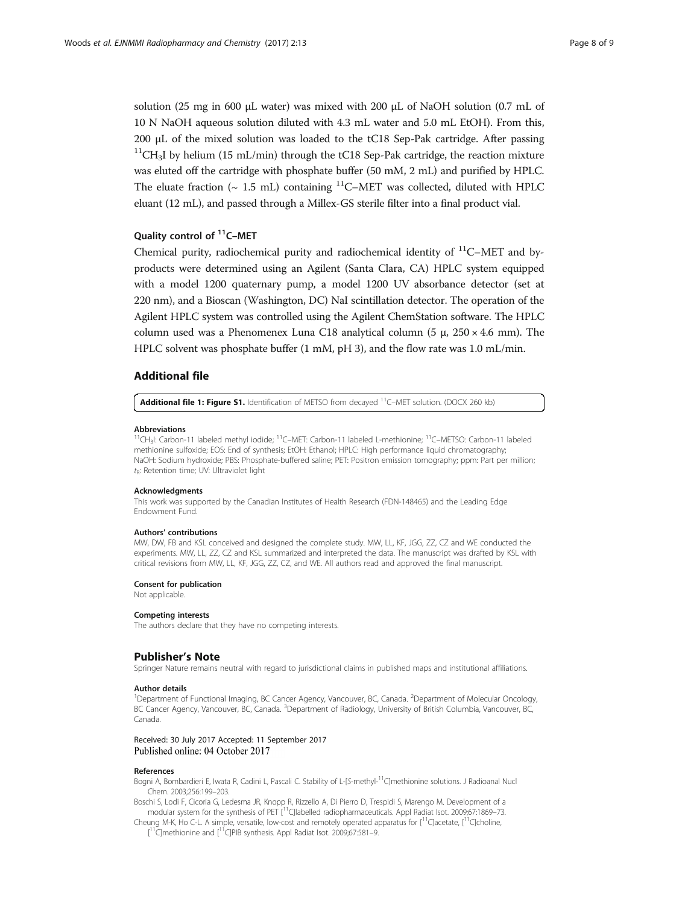<span id="page-7-0"></span>solution (25 mg in 600 μL water) was mixed with 200 μL of NaOH solution (0.7 mL of 10 N NaOH aqueous solution diluted with 4.3 mL water and 5.0 mL EtOH). From this, 200 μL of the mixed solution was loaded to the tC18 Sep-Pak cartridge. After passing  $11$ CH<sub>3</sub>I by helium (15 mL/min) through the tC18 Sep-Pak cartridge, the reaction mixture was eluted off the cartridge with phosphate buffer (50 mM, 2 mL) and purified by HPLC. The eluate fraction ( $\sim 1.5$  mL) containing <sup>11</sup>C–MET was collected, diluted with HPLC eluant (12 mL), and passed through a Millex-GS sterile filter into a final product vial.

## Quality control of <sup>11</sup>C-MET

Chemical purity, radiochemical purity and radiochemical identity of  $^{11}$ C–MET and byproducts were determined using an Agilent (Santa Clara, CA) HPLC system equipped with a model 1200 quaternary pump, a model 1200 UV absorbance detector (set at 220 nm), and a Bioscan (Washington, DC) NaI scintillation detector. The operation of the Agilent HPLC system was controlled using the Agilent ChemStation software. The HPLC column used was a Phenomenex Luna C18 analytical column (5  $\mu$ , 250  $\times$  4.6 mm). The HPLC solvent was phosphate buffer (1 mM, pH 3), and the flow rate was 1.0 mL/min.

### Additional file

[Additional file 1: Figure S1.](dx.doi.org/10.1186/s41181-017-0032-x) Identification of METSO from decayed <sup>11</sup>C-MET solution. (DOCX 260 kb)

## Abbreviations

<sup>11</sup>CH<sub>3</sub>I: Carbon-11 labeled methyl iodide; <sup>11</sup>C–MET: Carbon-11 labeled L-methionine; <sup>11</sup>C–METSO: Carbon-11 labeled methionine sulfoxide; EOS: End of synthesis; EtOH: Ethanol; HPLC: High performance liquid chromatography; NaOH: Sodium hydroxide; PBS: Phosphate-buffered saline; PET: Positron emission tomography; ppm: Part per million;  $t_{\rm B}$ : Retention time; UV: Ultraviolet light

#### Acknowledgments

This work was supported by the Canadian Institutes of Health Research (FDN-148465) and the Leading Edge Endowment Fund.

#### Authors' contributions

MW, DW, FB and KSL conceived and designed the complete study. MW, LL, KF, JGG, ZZ, CZ and WE conducted the experiments. MW, LL, ZZ, CZ and KSL summarized and interpreted the data. The manuscript was drafted by KSL with critical revisions from MW, LL, KF, JGG, ZZ, CZ, and WE. All authors read and approved the final manuscript.

#### Consent for publication

Not applicable.

#### Competing interests

The authors declare that they have no competing interests.

#### Publisher's Note

Springer Nature remains neutral with regard to jurisdictional claims in published maps and institutional affiliations.

#### Author details

<sup>1</sup>Department of Functional Imaging, BC Cancer Agency, Vancouver, BC, Canada. <sup>2</sup>Department of Molecular Oncology, BC Cancer Agency, Vancouver, BC, Canada. <sup>3</sup>Department of Radiology, University of British Columbia, Vancouver, BC Canada.

#### Received: 30 July 2017 Accepted: 11 September 2017 Published online: 04 October 2017

#### References

Bogni A, Bombardieri E, Iwata R, Cadini L, Pascali C. Stability of L-[S-methyl-<sup>11</sup>C]methionine solutions. J Radioanal Nucl Chem. 2003;256:199–203.

Boschi S, Lodi F, Cicoria G, Ledesma JR, Knopp R, Rizzello A, Di Pierro D, Trespidi S, Marengo M. Development of a modular system for the synthesis of PET [<sup>11</sup>C]labelled radiopharmaceuticals. Appl Radiat Isot. 2009;67:1869-73.

Cheung M-K, Ho C-L. A simple, versatile, low-cost and remotely operated apparatus for  $[1^1C]$ acetate,  $[1^1C]$ choline, [<sup>11</sup>C]methionine and [<sup>11</sup>C]PIB synthesis. Appl Radiat lsot. 2009;67:581-9.